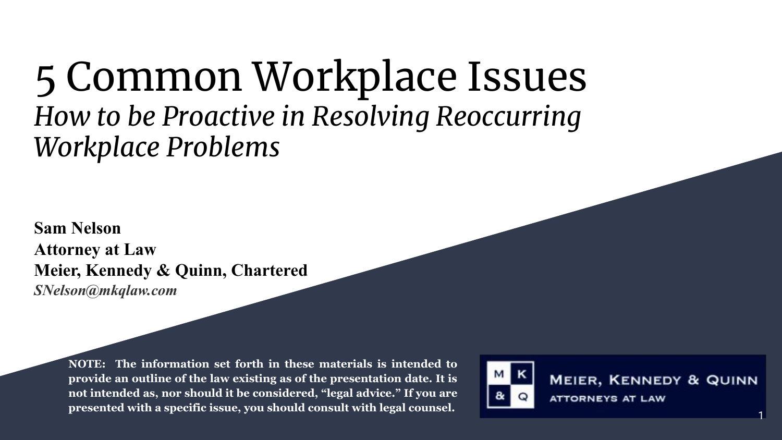#### 5 Common Workplace Issues *How to be Proactive in Resolving Reoccurring Workplace Problems*

**Sam Nelson Attorney at Law Meier, Kennedy & Quinn, Chartered** *SNelson@mkqlaw.com*

> **NOTE: The information set forth in these materials is intended to provide an outline of the law existing as of the presentation date. It is not intended as, nor should it be considered, "legal advice." If you are presented with a specific issue, you should consult with legal counsel.** <sup>1</sup>



**MEIER, KENNEDY & QUINN ATTORNEYS AT LAW**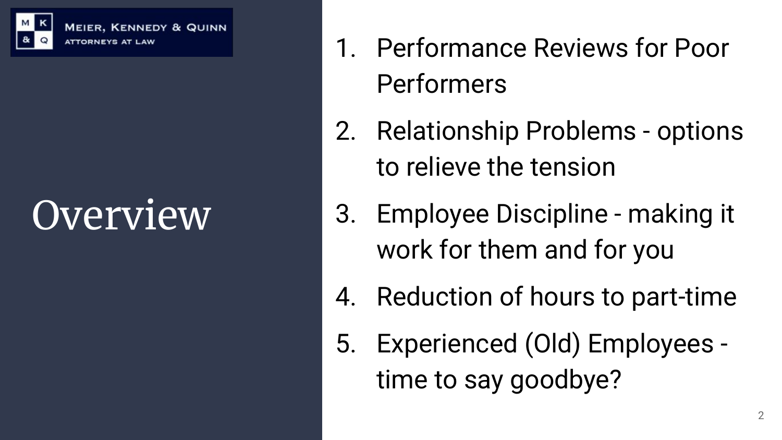

**MEIER, KENNEDY & QUINN ATTORNEYS AT** 

# Overview

- 1. Performance Reviews for Poor Performers
- 2. Relationship Problems options to relieve the tension
- 3. Employee Discipline making it work for them and for you
- 4. Reduction of hours to part-time
- 5. Experienced (Old) Employees time to say goodbye?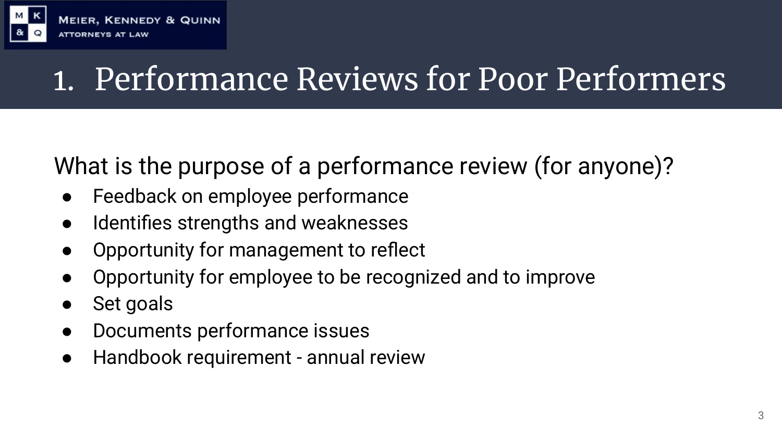

#### What is the purpose of a performance review (for anyone)?

- Feedback on employee performance
- Identifies strengths and weaknesses
- Opportunity for management to reflect
- Opportunity for employee to be recognized and to improve
- Set goals
- Documents performance issues
- Handbook requirement annual review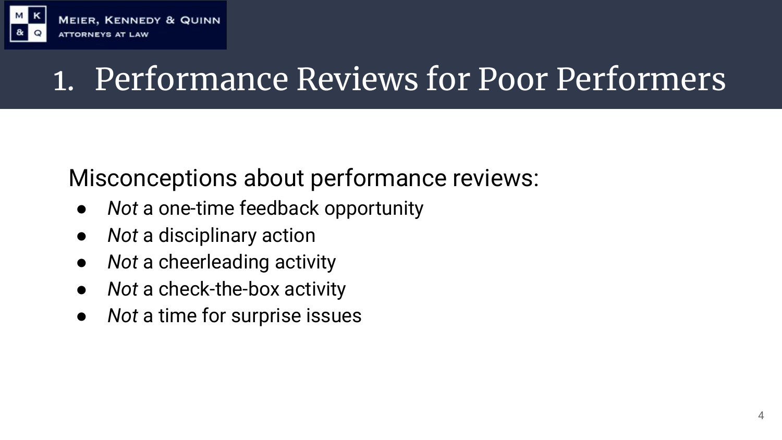

#### Misconceptions about performance reviews:

- *● Not* a one-time feedback opportunity
- *Not* a disciplinary action
- *Not* a cheerleading activity
- *● Not* a check-the-box activity
- *● Not* a time for surprise issues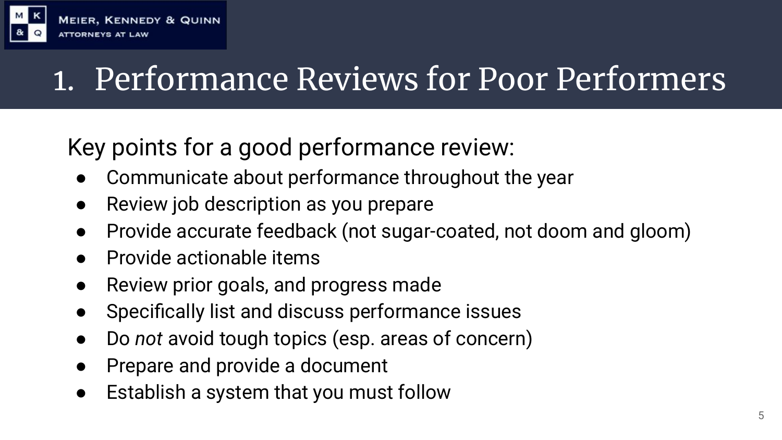

#### Key points for a good performance review:

- Communicate about performance throughout the year
- Review job description as you prepare
- Provide accurate feedback (not sugar-coated, not doom and gloom)
- **Provide actionable items**
- Review prior goals, and progress made
- Specifically list and discuss performance issues
- Do *not* avoid tough topics (esp. areas of concern)
- Prepare and provide a document
- Establish a system that you must follow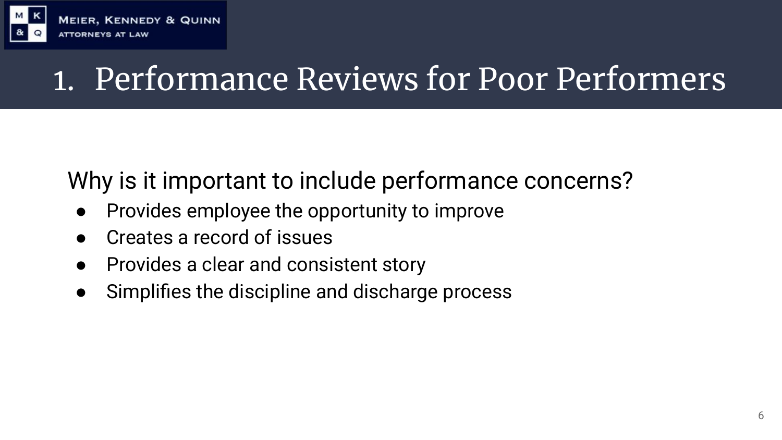

#### Why is it important to include performance concerns?

- Provides employee the opportunity to improve
- Creates a record of issues
- Provides a clear and consistent story
- Simplifies the discipline and discharge process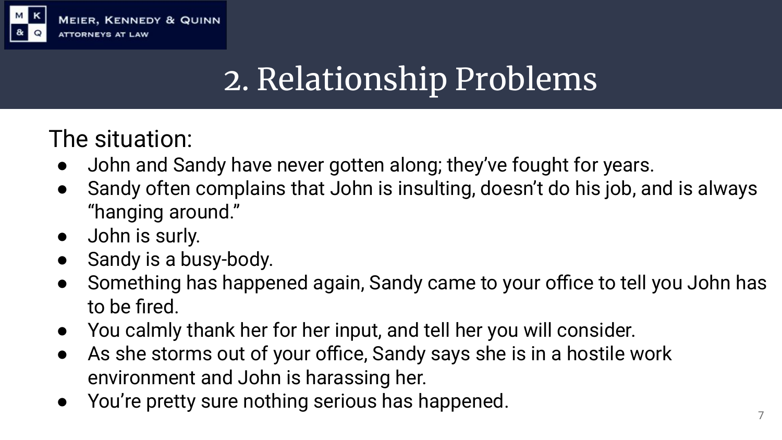

## 2. Relationship Problems

The situation:

- John and Sandy have never gotten along; they've fought for years.
- Sandy often complains that John is insulting, doesn't do his job, and is always "hanging around."
- John is surly.
- Sandy is a busy-body.
- Something has happened again, Sandy came to your office to tell you John has to be fired.
- You calmly thank her for her input, and tell her you will consider.
- As she storms out of your office, Sandy says she is in a hostile work environment and John is harassing her.
- You're pretty sure nothing serious has happened.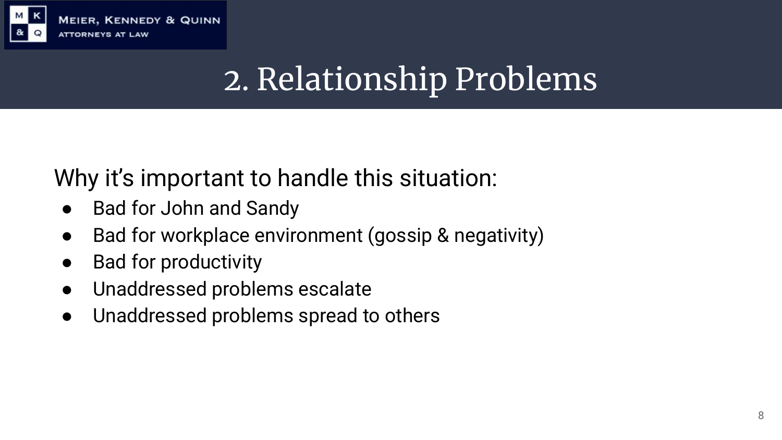

## 2. Relationship Problems

#### Why it's important to handle this situation:

- **Bad for John and Sandy**
- Bad for workplace environment (gossip & negativity)
- **Bad for productivity**
- Unaddressed problems escalate
- Unaddressed problems spread to others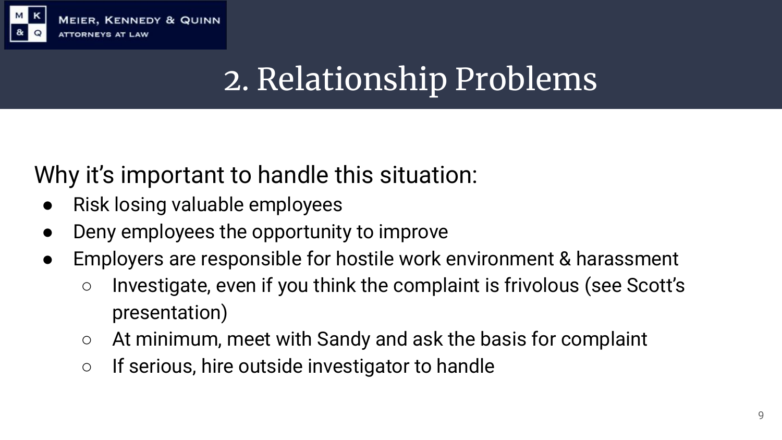

## 2. Relationship Problems

#### Why it's important to handle this situation:

- Risk losing valuable employees
- Deny employees the opportunity to improve
- Employers are responsible for hostile work environment & harassment
	- Investigate, even if you think the complaint is frivolous (see Scott's presentation)
	- At minimum, meet with Sandy and ask the basis for complaint
	- If serious, hire outside investigator to handle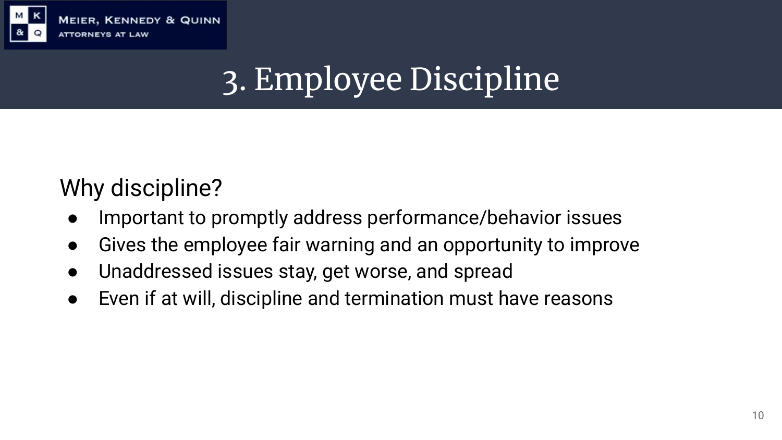

**MEIER, KENNEDY & QUINN ATTORNEYS AT** 

## 3. Employee Discipline

#### Why discipline?

- Important to promptly address performance/behavior issues
- Gives the employee fair warning and an opportunity to improve
- Unaddressed issues stay, get worse, and spread
- Even if at will, discipline and termination must have reasons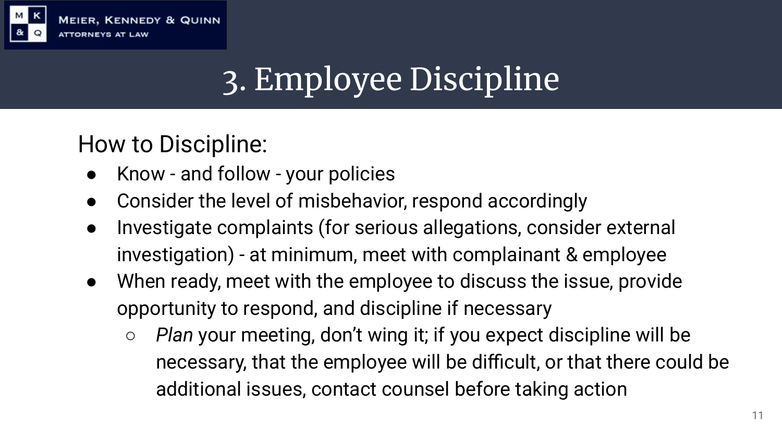

## 3. Employee Discipline

How to Discipline:

- Know and follow your policies
- Consider the level of misbehavior, respond accordingly
- Investigate complaints (for serious allegations, consider external investigation) - at minimum, meet with complainant & employee
- When ready, meet with the employee to discuss the issue, provide opportunity to respond, and discipline if necessary
	- *○ Plan* your meeting, don't wing it; if you expect discipline will be necessary, that the employee will be difficult, or that there could be additional issues, contact counsel before taking action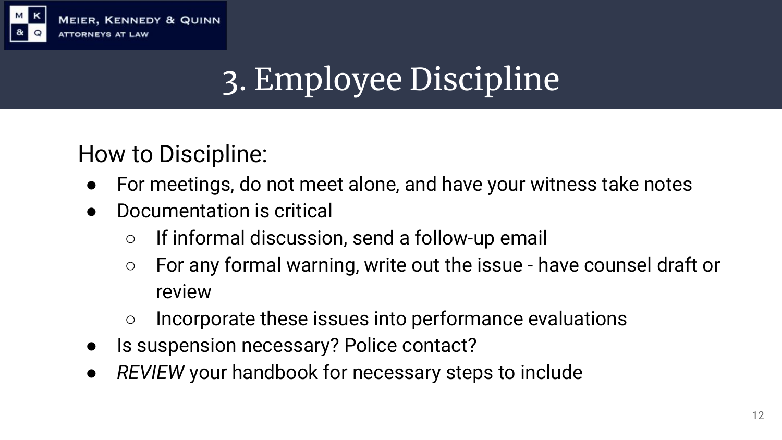

## 3. Employee Discipline

How to Discipline:

- For meetings, do not meet alone, and have your witness take notes
- Documentation is critical
	- If informal discussion, send a follow-up email
	- For any formal warning, write out the issue have counsel draft or review
	- Incorporate these issues into performance evaluations
- Is suspension necessary? Police contact?
- *● REVIEW* your handbook for necessary steps to include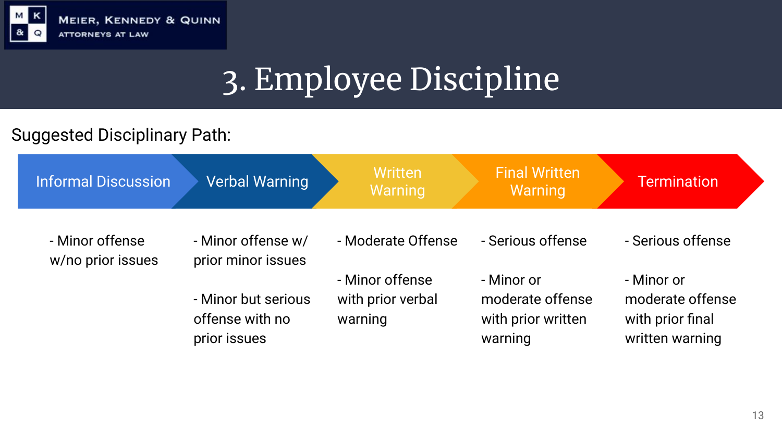

## 3. Employee Discipline

#### Suggested Disciplinary Path:

| <b>Informal Discussion</b>           | <b>Verbal Warning</b>                                  | Written<br>Warning                              | <b>Final Written</b><br>Warning                                 | <b>Termination</b>                                                    |
|--------------------------------------|--------------------------------------------------------|-------------------------------------------------|-----------------------------------------------------------------|-----------------------------------------------------------------------|
| - Minor offense<br>w/no prior issues | - Minor offense w/<br>prior minor issues               | - Moderate Offense                              | - Serious offense                                               | - Serious offense                                                     |
|                                      | - Minor but serious<br>offense with no<br>prior issues | - Minor offense<br>with prior verbal<br>warning | - Minor or<br>moderate offense<br>with prior written<br>warning | - Minor or<br>moderate offense<br>with prior final<br>written warning |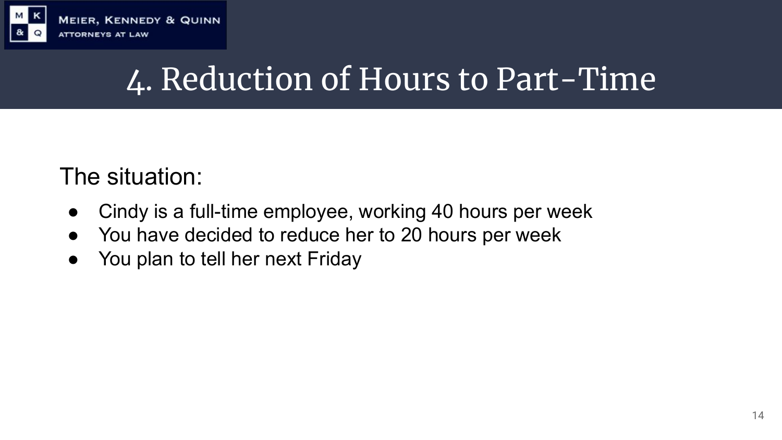

#### **MEIER, KENNEDY & QUINN ATTORNEYS AT LAW**

#### 4. Reduction of Hours to Part-Time

#### The situation:

- Cindy is a full-time employee, working 40 hours per week
- You have decided to reduce her to 20 hours per week
- You plan to tell her next Friday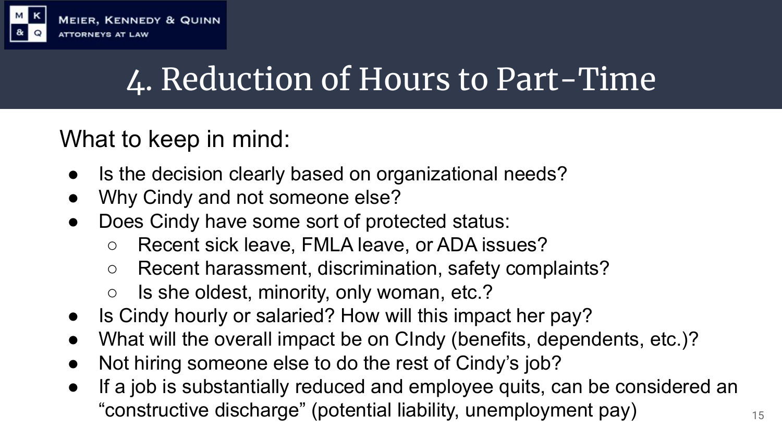

## 4. Reduction of Hours to Part-Time

#### What to keep in mind:

- Is the decision clearly based on organizational needs?
- Why Cindy and not someone else?
- Does Cindy have some sort of protected status:
	- Recent sick leave, FMLA leave, or ADA issues?
	- Recent harassment, discrimination, safety complaints?
	- Is she oldest, minority, only woman, etc.?
- Is Cindy hourly or salaried? How will this impact her pay?
- What will the overall impact be on CIndy (benefits, dependents, etc.)?
- Not hiring someone else to do the rest of Cindy's job?
- If a job is substantially reduced and employee quits, can be considered an "constructive discharge" (potential liability, unemployment pay)  $15$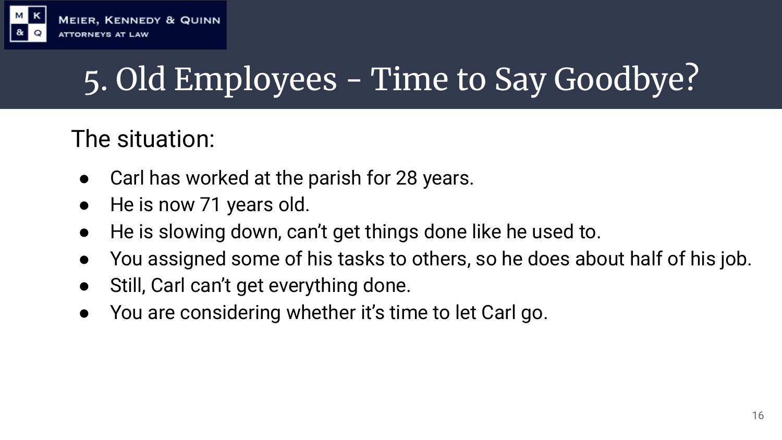

## 5. Old Employees - Time to Say Goodbye?

#### The situation:

- Carl has worked at the parish for 28 years.
- He is now 71 years old.
- He is slowing down, can't get things done like he used to.
- You assigned some of his tasks to others, so he does about half of his job.
- Still, Carl can't get everything done.
- You are considering whether it's time to let Carl go.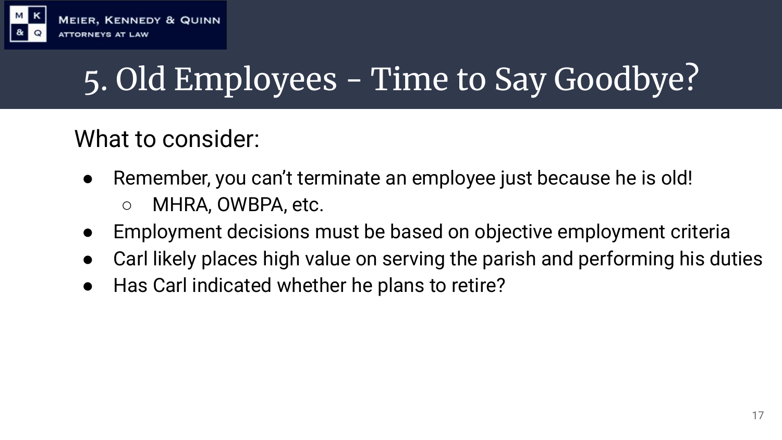

## 5. Old Employees - Time to Say Goodbye?

#### What to consider:

- Remember, you can't terminate an employee just because he is old! ○ MHRA, OWBPA, etc.
- Employment decisions must be based on objective employment criteria
- Carl likely places high value on serving the parish and performing his duties
- Has Carl indicated whether he plans to retire?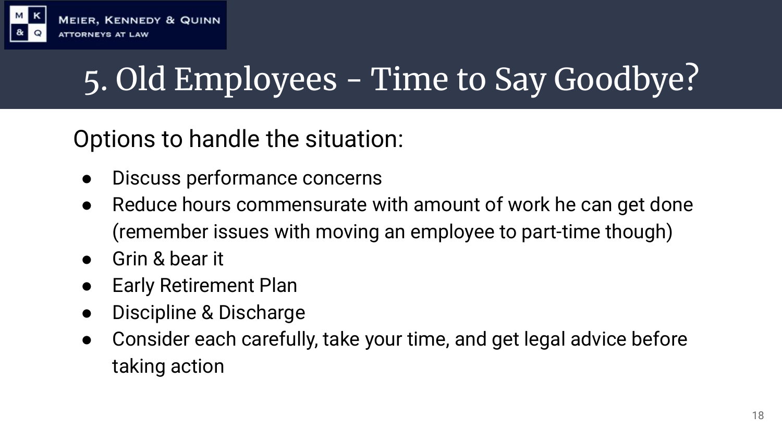

## 5. Old Employees - Time to Say Goodbye?

Options to handle the situation:

- Discuss performance concerns
- Reduce hours commensurate with amount of work he can get done (remember issues with moving an employee to part-time though)
- Grin & bear it
- **Early Retirement Plan**
- Discipline & Discharge
- Consider each carefully, take your time, and get legal advice before taking action